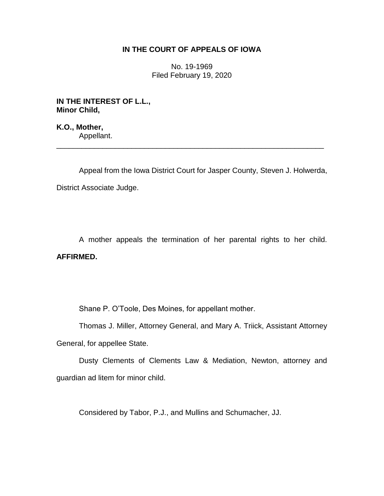## **IN THE COURT OF APPEALS OF IOWA**

No. 19-1969 Filed February 19, 2020

**IN THE INTEREST OF L.L., Minor Child,**

**K.O., Mother,** Appellant.

Appeal from the Iowa District Court for Jasper County, Steven J. Holwerda, District Associate Judge.

\_\_\_\_\_\_\_\_\_\_\_\_\_\_\_\_\_\_\_\_\_\_\_\_\_\_\_\_\_\_\_\_\_\_\_\_\_\_\_\_\_\_\_\_\_\_\_\_\_\_\_\_\_\_\_\_\_\_\_\_\_\_\_\_

A mother appeals the termination of her parental rights to her child. **AFFIRMED.** 

Shane P. O'Toole, Des Moines, for appellant mother.

Thomas J. Miller, Attorney General, and Mary A. Triick, Assistant Attorney General, for appellee State.

Dusty Clements of Clements Law & Mediation, Newton, attorney and guardian ad litem for minor child.

Considered by Tabor, P.J., and Mullins and Schumacher, JJ.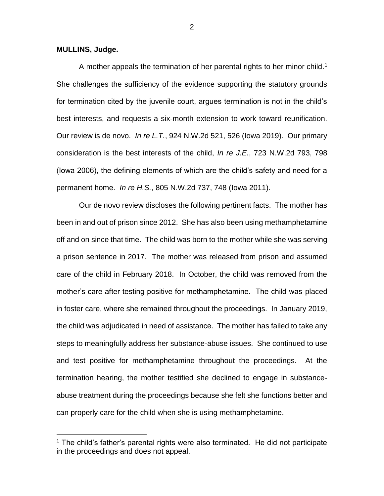**MULLINS, Judge.**

 $\overline{a}$ 

A mother appeals the termination of her parental rights to her minor child.<sup>1</sup> She challenges the sufficiency of the evidence supporting the statutory grounds for termination cited by the juvenile court, argues termination is not in the child's best interests, and requests a six-month extension to work toward reunification. Our review is de novo. *In re L.T.*, 924 N.W.2d 521, 526 (Iowa 2019). Our primary consideration is the best interests of the child, *In re J.E.*, 723 N.W.2d 793, 798 (Iowa 2006), the defining elements of which are the child's safety and need for a permanent home. *In re H.S.*, 805 N.W.2d 737, 748 (Iowa 2011).

Our de novo review discloses the following pertinent facts. The mother has been in and out of prison since 2012. She has also been using methamphetamine off and on since that time. The child was born to the mother while she was serving a prison sentence in 2017. The mother was released from prison and assumed care of the child in February 2018. In October, the child was removed from the mother's care after testing positive for methamphetamine. The child was placed in foster care, where she remained throughout the proceedings. In January 2019, the child was adjudicated in need of assistance. The mother has failed to take any steps to meaningfully address her substance-abuse issues. She continued to use and test positive for methamphetamine throughout the proceedings. At the termination hearing, the mother testified she declined to engage in substanceabuse treatment during the proceedings because she felt she functions better and can properly care for the child when she is using methamphetamine.

 $1$  The child's father's parental rights were also terminated. He did not participate in the proceedings and does not appeal.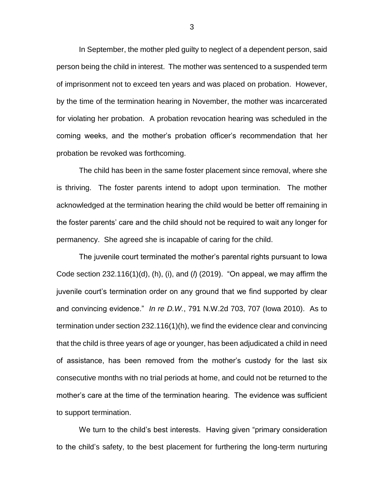In September, the mother pled guilty to neglect of a dependent person, said person being the child in interest. The mother was sentenced to a suspended term of imprisonment not to exceed ten years and was placed on probation. However, by the time of the termination hearing in November, the mother was incarcerated for violating her probation. A probation revocation hearing was scheduled in the coming weeks, and the mother's probation officer's recommendation that her probation be revoked was forthcoming.

The child has been in the same foster placement since removal, where she is thriving. The foster parents intend to adopt upon termination. The mother acknowledged at the termination hearing the child would be better off remaining in the foster parents' care and the child should not be required to wait any longer for permanency. She agreed she is incapable of caring for the child.

The juvenile court terminated the mother's parental rights pursuant to Iowa Code section 232.116(1)(d), (h), (i), and (*l*) (2019). "On appeal, we may affirm the juvenile court's termination order on any ground that we find supported by clear and convincing evidence." *In re D.W.*, 791 N.W.2d 703, 707 (Iowa 2010). As to termination under section 232.116(1)(h), we find the evidence clear and convincing that the child is three years of age or younger, has been adjudicated a child in need of assistance, has been removed from the mother's custody for the last six consecutive months with no trial periods at home, and could not be returned to the mother's care at the time of the termination hearing. The evidence was sufficient to support termination.

We turn to the child's best interests. Having given "primary consideration to the child's safety, to the best placement for furthering the long-term nurturing

3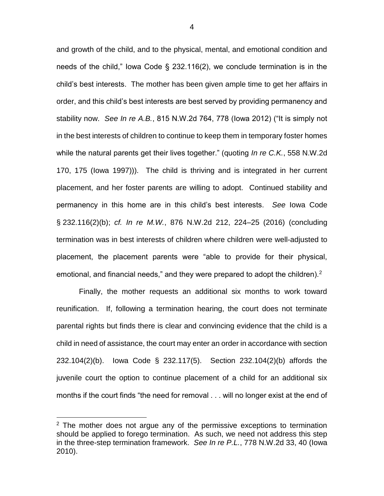and growth of the child, and to the physical, mental, and emotional condition and needs of the child," Iowa Code § 232.116(2), we conclude termination is in the child's best interests. The mother has been given ample time to get her affairs in order, and this child's best interests are best served by providing permanency and stability now. *See In re A.B.*, 815 N.W.2d 764, 778 (Iowa 2012) ("It is simply not in the best interests of children to continue to keep them in temporary foster homes while the natural parents get their lives together." (quoting *In re C.K.*, 558 N.W.2d 170, 175 (Iowa 1997))). The child is thriving and is integrated in her current placement, and her foster parents are willing to adopt. Continued stability and permanency in this home are in this child's best interests. *See* Iowa Code § 232.116(2)(b); *cf. In re M.W.*, 876 N.W.2d 212, 224–25 (2016) (concluding termination was in best interests of children where children were well-adjusted to placement, the placement parents were "able to provide for their physical, emotional, and financial needs," and they were prepared to adopt the children).<sup>2</sup>

Finally, the mother requests an additional six months to work toward reunification. If, following a termination hearing, the court does not terminate parental rights but finds there is clear and convincing evidence that the child is a child in need of assistance, the court may enter an order in accordance with section 232.104(2)(b). Iowa Code § 232.117(5). Section 232.104(2)(b) affords the juvenile court the option to continue placement of a child for an additional six months if the court finds "the need for removal . . . will no longer exist at the end of

 $\overline{a}$ 

 $2$  The mother does not argue any of the permissive exceptions to termination should be applied to forego termination. As such, we need not address this step in the three-step termination framework. *See In re P.L.*, 778 N.W.2d 33, 40 (Iowa 2010).